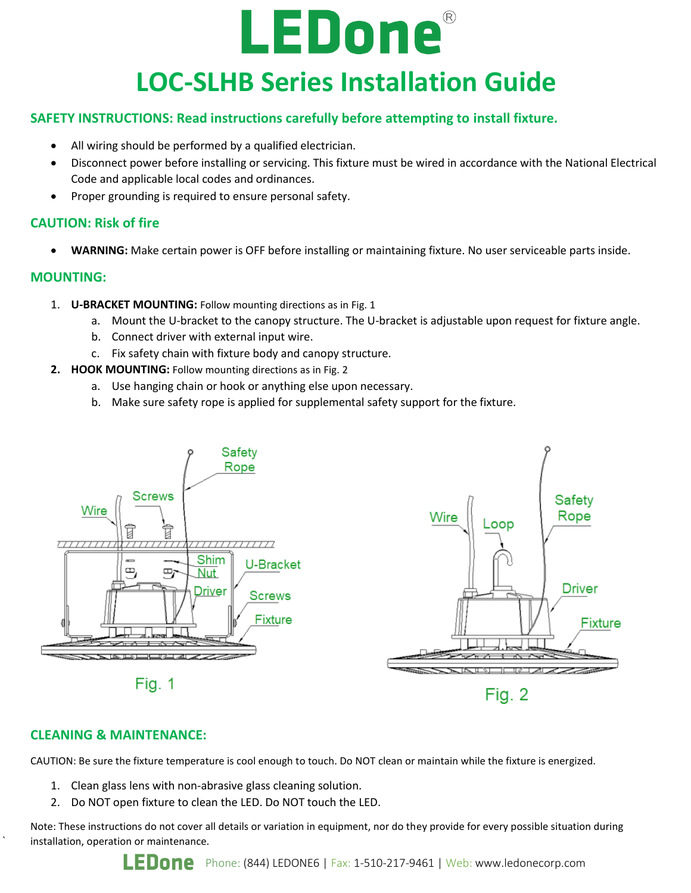# LEDone® **LOC-SLHB Series Installation Guide**

## **SAFETY INSTRUCTIONS: Read instructions carefully before attempting to install fixture.**

- All wiring should be performed by a qualified electrician.
- Disconnect power before installing or servicing. This fixture must be wired in accordance with the National Electrical Code and applicable local codes and ordinances.
- Proper grounding is required to ensure personal safety.

### **CAUTION: Risk of fire**

• **WARNING:** Make certain power is OFF before installing or maintaining fixture. No user serviceable parts inside.

#### **MOUNTING:**

- 1. **U-BRACKET MOUNTING:** Follow mounting directions as in Fig. 1
	- a. Mount the U-bracket to the canopy structure. The U-bracket is adjustable upon request for fixture angle.
	- b. Connect driver with external input wire.
	- c. Fix safety chain with fixture body and canopy structure.
- **2. HOOK MOUNTING:** Follow mounting directions as in Fig. 2
	- a. Use hanging chain or hook or anything else upon necessary.
	- b. Make sure safety rope is applied for supplemental safety support for the fixture.



#### **CLEANING & MAINTENANCE:**

`

CAUTION: Be sure the fixture temperature is cool enough to touch. Do NOT clean or maintain while the fixture is energized.

- 1. Clean glass lens with non-abrasive glass cleaning solution.
- 2. Do NOT open fixture to clean the LED. Do NOT touch the LED.

Note: These instructions do not cover all details or variation in equipment, nor do they provide for every possible situation during installation, operation or maintenance.